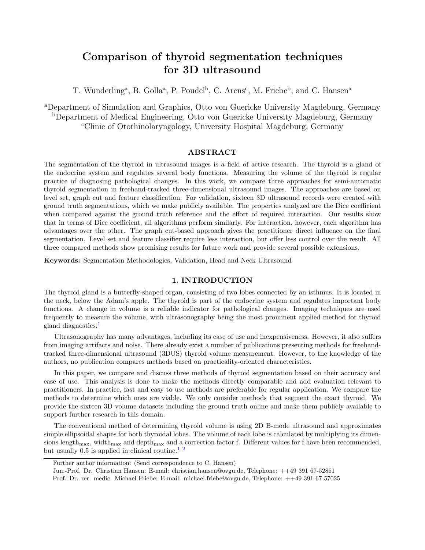# Comparison of thyroid segmentation techniques for 3D ultrasound

T. Wunderling<sup>a</sup>, B. Golla<sup>a</sup>, P. Poudel<sup>b</sup>, C. Arens<sup>c</sup>, M. Friebe<sup>b</sup>, and C. Hansen<sup>a</sup>

<sup>a</sup>Department of Simulation and Graphics, Otto von Guericke University Magdeburg, Germany <sup>b</sup>Department of Medical Engineering, Otto von Guericke University Magdeburg, Germany <sup>c</sup>Clinic of Otorhinolaryngology, University Hospital Magdeburg, Germany

### ABSTRACT

The segmentation of the thyroid in ultrasound images is a field of active research. The thyroid is a gland of the endocrine system and regulates several body functions. Measuring the volume of the thyroid is regular practice of diagnosing pathological changes. In this work, we compare three approaches for semi-automatic thyroid segmentation in freehand-tracked three-dimensional ultrasound images. The approaches are based on level set, graph cut and feature classification. For validation, sixteen 3D ultrasound records were created with ground truth segmentations, which we make publicly available. The properties analyzed are the Dice coefficient when compared against the ground truth reference and the effort of required interaction. Our results show that in terms of Dice coefficient, all algorithms perform similarly. For interaction, however, each algorithm has advantages over the other. The graph cut-based approach gives the practitioner direct influence on the final segmentation. Level set and feature classifier require less interaction, but offer less control over the result. All three compared methods show promising results for future work and provide several possible extensions.

Keywords: Segmentation Methodologies, Validation, Head and Neck Ultrasound

### 1. INTRODUCTION

The thyroid gland is a butterfly-shaped organ, consisting of two lobes connected by an isthmus. It is located in the neck, below the Adam's apple. The thyroid is part of the endocrine system and regulates important body functions. A change in volume is a reliable indicator for pathological changes. Imaging techniques are used frequently to measure the volume, with ultrasonography being the most prominent applied method for thyroid gland diagnostics.<sup>[1](#page-6-0)</sup>

Ultrasonography has many advantages, including its ease of use and inexpensiveness. However, it also suffers from imaging artifacts and noise. There already exist a number of publications presenting methods for freehandtracked three-dimensional ultrasound (3DUS) thyroid volume measurement. However, to the knowledge of the authors, no publication compares methods based on practicality-oriented characteristics.

In this paper, we compare and discuss three methods of thyroid segmentation based on their accuracy and ease of use. This analysis is done to make the methods directly comparable and add evaluation relevant to practitioners. In practice, fast and easy to use methods are preferable for regular application. We compare the methods to determine which ones are viable. We only consider methods that segment the exact thyroid. We provide the sixteen 3D volume datasets including the ground truth online and make them publicly available to support further research in this domain.

The conventional method of determining thyroid volume is using 2D B-mode ultrasound and approximates simple ellipsoidal shapes for both thyroidal lobes. The volume of each lobe is calculated by multiplying its dimensions length<sub>max</sub>, width<sub>max</sub> and depth<sub>max</sub> and a correction factor f. Different values for f have been recommended, but usually  $0.5$  is applied in clinical routine.<sup>[1,](#page-6-0)[2](#page-6-1)</sup>

Further author information: (Send correspondence to C. Hansen)

Jun.-Prof. Dr. Christian Hansen: E-mail: christian.hansen@ovgu.de, Telephone: ++49 391 67-52861

Prof. Dr. rer. medic. Michael Friebe: E-mail: michael.friebe@ovgu.de, Telephone: ++49 391 67-57025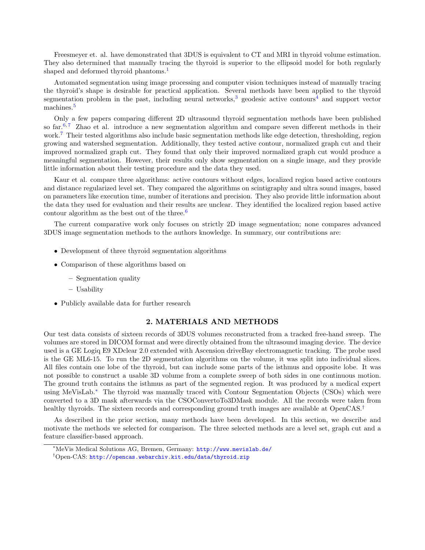Freesmeyer et. al. have demonstrated that 3DUS is equivalent to CT and MRI in thyroid volume estimation. They also determined that manually tracing the thyroid is superior to the ellipsoid model for both regularly shaped and deformed thyroid phantoms.<sup>[1](#page-6-0)</sup>

Automated segmentation using image processing and computer vision techniques instead of manually tracing the thyroid's shape is desirable for practical application. Several methods have been applied to the thyroid segmentation problem in the past, including neural networks,<sup>[3](#page-6-2)</sup> geodesic active contours<sup>[4](#page-6-3)</sup> and support vector machines.[5](#page-6-4)

Only a few papers comparing different 2D ultrasound thyroid segmentation methods have been published so far.<sup>[6,](#page-6-5)[7](#page-6-6)</sup> Zhao et al. introduce a new segmentation algorithm and compare seven different methods in their work.<sup>[7](#page-6-6)</sup> Their tested algorithms also include basic segmentation methods like edge detection, thresholding, region growing and watershed segmentation. Additionally, they tested active contour, normalized graph cut and their improved normalized graph cut. They found that only their improved normalized graph cut would produce a meaningful segmentation. However, their results only show segmentation on a single image, and they provide little information about their testing procedure and the data they used.

Kaur et al. compare three algorithms: active contours without edges, localized region based active contours and distance regularized level set. They compared the algorithms on scintigraphy and ultra sound images, based on parameters like execution time, number of iterations and precision. They also provide little information about the data they used for evaluation and their results are unclear. They identified the localized region based active contour algorithm as the best out of the three.<sup>[6](#page-6-5)</sup>

The current comparative work only focuses on strictly 2D image segmentation; none compares advanced 3DUS image segmentation methods to the authors knowledge. In summary, our contributions are:

- Development of three thyroid segmentation algorithms
- Comparison of these algorithms based on
	- Segmentation quality
	- Usability
- Publicly available data for further research

#### 2. MATERIALS AND METHODS

Our test data consists of sixteen records of 3DUS volumes reconstructed from a tracked free-hand sweep. The volumes are stored in DICOM format and were directly obtained from the ultrasound imaging device. The device used is a GE Logiq E9 XDclear 2.0 extended with Ascension driveBay electromagnetic tracking. The probe used is the GE ML6-15. To run the 2D segmentation algorithms on the volume, it was split into individual slices. All files contain one lobe of the thyroid, but can include some parts of the isthmus and opposite lobe. It was not possible to construct a usable 3D volume from a complete sweep of both sides in one continuous motion. The ground truth contains the isthmus as part of the segmented region. It was produced by a medical expert using MeVisLab.[∗](#page-1-0) The thyroid was manually traced with Contour Segmentation Objects (CSOs) which were converted to a 3D mask afterwards via the CSOConvertoTo3DMask module. All the records were taken from healthy thyroids. The sixteen records and corresponding ground truth images are available at OpenCAS.<sup>[†](#page-1-1)</sup>

As described in the prior section, many methods have been developed. In this section, we describe and motivate the methods we selected for comparison. The three selected methods are a level set, graph cut and a feature classifier-based approach.

<span id="page-1-0"></span><sup>∗</sup>MeVis Medical Solutions AG, Bremen, Germany: <http://www.mevislab.de/>

<span id="page-1-1"></span><sup>†</sup>Open-CAS: <http://opencas.webarchiv.kit.edu/data/thyroid.zip>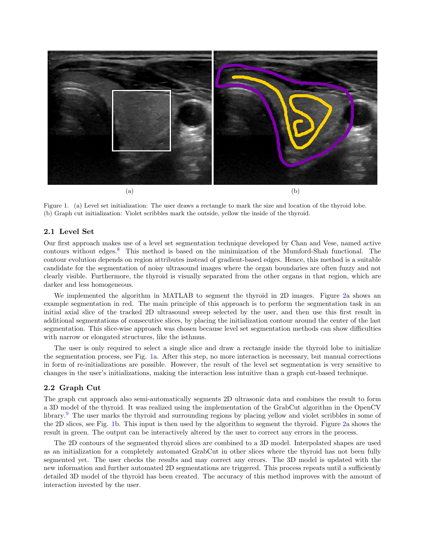

<span id="page-2-0"></span>Figure 1. (a) Level set initialization: The user draws a rectangle to mark the size and location of the thyroid lobe. (b) Graph cut initialization: Violet scribbles mark the outside, yellow the inside of the thyroid.

#### 2.1 Level Set

Our first approach makes use of a level set segmentation technique developed by Chan and Vese, named active contours without edges.[8](#page-6-7) This method is based on the minimization of the Mumford-Shah functional. The contour evolution depends on region attributes instead of gradient-based edges. Hence, this method is a suitable candidate for the segmentation of noisy ultrasound images where the organ boundaries are often fuzzy and not clearly visible. Furthermore, the thyroid is visually separated from the other organs in that region, which are darker and less homogeneous.

We implemented the algorithm in MATLAB to segment the thyroid in 2D images. Figure [2a](#page-3-0) shows an example segmentation in red. The main principle of this approach is to perform the segmentation task in an initial axial slice of the tracked 2D ultrasound sweep selected by the user, and then use this first result in additional segmentations of consecutive slices, by placing the initialization contour around the center of the last segmentation. This slice-wise approach was chosen because level set segmentation methods can show difficulties with narrow or elongated structures, like the isthmus.

The user is only required to select a single slice and draw a rectangle inside the thyroid lobe to initialize the segmentation process, see Fig. [1a](#page-2-0). After this step, no more interaction is necessary, but manual corrections in form of re-initializations are possible. However, the result of the level set segmentation is very sensitive to changes in the user's initializations, making the interaction less intuitive than a graph cut-based technique.

#### 2.2 Graph Cut

The graph cut approach also semi-automatically segments 2D ultrasonic data and combines the result to form a 3D model of the thyroid. It was realized using the implementation of the GrabCut algorithm in the OpenCV library.<sup>[9](#page-6-8)</sup> The user marks the thyroid and surrounding regions by placing yellow and violet scribbles in some of the 2D slices, see Fig. [1b](#page-2-0). This input is then used by the algorithm to segment the thyroid. Figure [2a](#page-3-0) shows the result in green. The output can be interactively altered by the user to correct any errors in the process.

The 2D contours of the segmented thyroid slices are combined to a 3D model. Interpolated shapes are used as an initialization for a completely automated GrabCut in other slices where the thyroid has not been fully segmented yet. The user checks the results and may correct any errors. The 3D model is updated with the new information and further automated 2D segmentations are triggered. This process repeats until a sufficiently detailed 3D model of the thyroid has been created. The accuracy of this method improves with the amount of interaction invested by the user.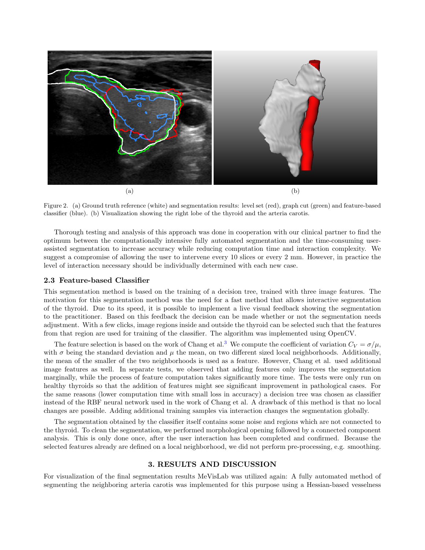

<span id="page-3-0"></span>Figure 2. (a) Ground truth reference (white) and segmentation results: level set (red), graph cut (green) and feature-based classifier (blue). (b) Visualization showing the right lobe of the thyroid and the arteria carotis.

Thorough testing and analysis of this approach was done in cooperation with our clinical partner to find the optimum between the computationally intensive fully automated segmentation and the time-consuming userassisted segmentation to increase accuracy while reducing computation time and interaction complexity. We suggest a compromise of allowing the user to intervene every 10 slices or every 2 mm. However, in practice the level of interaction necessary should be individually determined with each new case.

#### 2.3 Feature-based Classifier

This segmentation method is based on the training of a decision tree, trained with three image features. The motivation for this segmentation method was the need for a fast method that allows interactive segmentation of the thyroid. Due to its speed, it is possible to implement a live visual feedback showing the segmentation to the practitioner. Based on this feedback the decision can be made whether or not the segmentation needs adjustment. With a few clicks, image regions inside and outside the thyroid can be selected such that the features from that region are used for training of the classifier. The algorithm was implemented using OpenCV.

The feature selection is based on the work of Chang et al.<sup>[3](#page-6-2)</sup> We compute the coefficient of variation  $C_V = \sigma/\mu$ , with  $\sigma$  being the standard deviation and  $\mu$  the mean, on two different sized local neighborhoods. Additionally, the mean of the smaller of the two neighborhoods is used as a feature. However, Chang et al. used additional image features as well. In separate tests, we observed that adding features only improves the segmentation marginally, while the process of feature computation takes significantly more time. The tests were only run on healthy thyroids so that the addition of features might see significant improvement in pathological cases. For the same reasons (lower computation time with small loss in accuracy) a decision tree was chosen as classifier instead of the RBF neural network used in the work of Chang et al. A drawback of this method is that no local changes are possible. Adding additional training samples via interaction changes the segmentation globally.

The segmentation obtained by the classifier itself contains some noise and regions which are not connected to the thyroid. To clean the segmentation, we performed morphological opening followed by a connected component analysis. This is only done once, after the user interaction has been completed and confirmed. Because the selected features already are defined on a local neighborhood, we did not perform pre-processing, e.g. smoothing.

#### 3. RESULTS AND DISCUSSION

For visualization of the final segmentation results MeVisLab was utilized again: A fully automated method of segmenting the neighboring arteria carotis was implemented for this purpose using a Hessian-based vesselness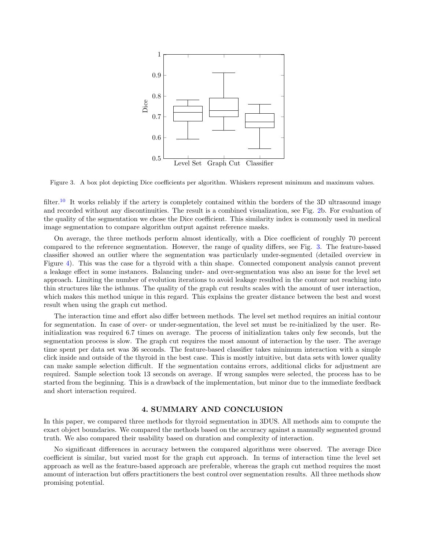

<span id="page-4-0"></span>Figure 3. A box plot depicting Dice coefficients per algorithm. Whiskers represent minimum and maximum values.

filter.<sup>[10](#page-6-9)</sup> It works reliably if the artery is completely contained within the borders of the 3D ultrasound image and recorded without any discontinuities. The result is a combined visualization, see Fig. [2b](#page-3-0). For evaluation of the quality of the segmentation we chose the Dice coefficient. This similarity index is commonly used in medical image segmentation to compare algorithm output against reference masks.

On average, the three methods perform almost identically, with a Dice coefficient of roughly 70 percent compared to the reference segmentation. However, the range of quality differs, see Fig. [3.](#page-4-0) The feature-based classifier showed an outlier where the segmentation was particularly under-segmented (detailed overview in Figure [4\)](#page-5-0). This was the case for a thyroid with a thin shape. Connected component analysis cannot prevent a leakage effect in some instances. Balancing under- and over-segmentation was also an issue for the level set approach. Limiting the number of evolution iterations to avoid leakage resulted in the contour not reaching into thin structures like the isthmus. The quality of the graph cut results scales with the amount of user interaction, which makes this method unique in this regard. This explains the greater distance between the best and worst result when using the graph cut method.

The interaction time and effort also differ between methods. The level set method requires an initial contour for segmentation. In case of over- or under-segmentation, the level set must be re-initialized by the user. Reinitialization was required 6.7 times on average. The process of initialization takes only few seconds, but the segmentation process is slow. The graph cut requires the most amount of interaction by the user. The average time spent per data set was 36 seconds. The feature-based classifier takes minimum interaction with a simple click inside and outside of the thyroid in the best case. This is mostly intuitive, but data sets with lower quality can make sample selection difficult. If the segmentation contains errors, additional clicks for adjustment are required. Sample selection took 13 seconds on average. If wrong samples were selected, the process has to be started from the beginning. This is a drawback of the implementation, but minor due to the immediate feedback and short interaction required.

## 4. SUMMARY AND CONCLUSION

In this paper, we compared three methods for thyroid segmentation in 3DUS. All methods aim to compute the exact object boundaries. We compared the methods based on the accuracy against a manually segmented ground truth. We also compared their usability based on duration and complexity of interaction.

No significant differences in accuracy between the compared algorithms were observed. The average Dice coefficient is similar, but varied most for the graph cut approach. In terms of interaction time the level set approach as well as the feature-based approach are preferable, whereas the graph cut method requires the most amount of interaction but offers practitioners the best control over segmentation results. All three methods show promising potential.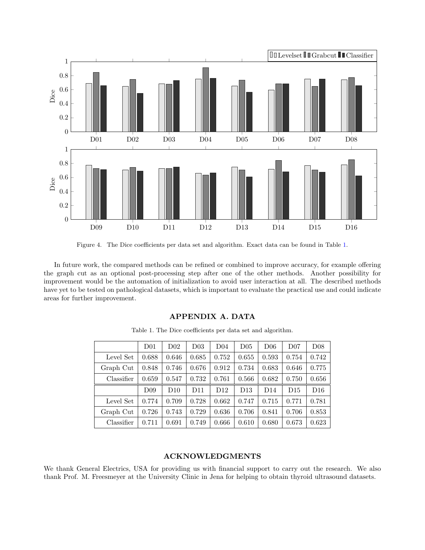

<span id="page-5-0"></span>Figure 4. The Dice coefficients per data set and algorithm. Exact data can be found in Table [1.](#page-5-1)

In future work, the compared methods can be refined or combined to improve accuracy, for example offering the graph cut as an optional post-processing step after one of the other methods. Another possibility for improvement would be the automation of initialization to avoid user interaction at all. The described methods have yet to be tested on pathological datasets, which is important to evaluate the practical use and could indicate areas for further improvement.

## <span id="page-5-1"></span>APPENDIX A. DATA

|            | D <sub>01</sub> | D <sub>02</sub> | D <sub>03</sub> | D <sub>04</sub> | D <sub>05</sub> | D <sub>06</sub> | $D_{07}$ | D <sub>08</sub> |
|------------|-----------------|-----------------|-----------------|-----------------|-----------------|-----------------|----------|-----------------|
| Level Set  | 0.688           | 0.646           | 0.685           | 0.752           | 0.655           | 0.593           | 0.754    | 0.742           |
| Graph Cut  | 0.848           | 0.746           | 0.676           | 0.912           | 0.734           | 0.683           | 0.646    | 0.775           |
| Classifier | 0.659           | 0.547           | 0.732           | 0.761           | 0.566           | 0.682           | 0.750    | 0.656           |
|            | D <sub>09</sub> | D10             | D11             | D <sub>12</sub> | D13             | D <sub>14</sub> | D15      | D16             |
| Level Set  | 0.774           | 0.709           | 0.728           | 0.662           | 0.747           | 0.715           | 0.771    | 0.781           |
| Graph Cut  | 0.726           | 0.743           | 0.729           | 0.636           | 0.706           | 0.841           | 0.706    | 0.853           |
| Classifier | 0.711           | 0.691           | 0.749           | 0.666           | 0.610           | 0.680           | 0.673    | 0.623           |

Table 1. The Dice coefficients per data set and algorithm.

## ACKNOWLEDGMENTS

We thank General Electrics, USA for providing us with financial support to carry out the research. We also thank Prof. M. Freesmeyer at the University Clinic in Jena for helping to obtain thyroid ultrasound datasets.